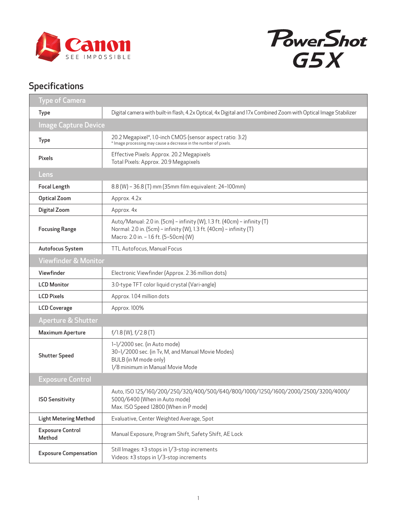



## Specifications

| <b>Type of Camera</b>             |                                                                                                                                                                                          |
|-----------------------------------|------------------------------------------------------------------------------------------------------------------------------------------------------------------------------------------|
| <b>Type</b>                       | Digital camera with built-in flash, 4.2x Optical, 4x Digital and 17x Combined Zoom with Optical Image Stabilizer                                                                         |
| <b>Image Capture Device</b>       |                                                                                                                                                                                          |
| <b>Type</b>                       | 20.2 Megapixel*, 1.0-inch CMOS (sensor aspect ratio: 3:2)<br>* Image processing may cause a decrease in the number of pixels.                                                            |
| <b>Pixels</b>                     | Effective Pixels: Approx. 20.2 Megapixels<br>Total Pixels: Approx. 20.9 Megapixels                                                                                                       |
| Lens                              |                                                                                                                                                                                          |
| <b>Focal Length</b>               | 8.8 (W) - 36.8 (T) mm (35mm film equivalent: 24-100mm)                                                                                                                                   |
| <b>Optical Zoom</b>               | Approx. 4.2x                                                                                                                                                                             |
| Digital Zoom                      | Approx. 4x                                                                                                                                                                               |
| <b>Focusing Range</b>             | Auto/Manual: 2.0 in. (5cm) - infinity (W), 1.3 ft. (40cm) - infinity (T)<br>Normal: 2.0 in. (5cm) - infinity (W), 1.3 ft. (40cm) - infinity (T)<br>Macro: 2.0 in. - 1.6 ft. (5-50cm) (W) |
| Autofocus System                  | TTL Autofocus, Manual Focus                                                                                                                                                              |
| <b>Viewfinder &amp; Monitor</b>   |                                                                                                                                                                                          |
| Viewfinder                        | Electronic Viewfinder (Approx. 2.36 million dots)                                                                                                                                        |
| <b>LCD Monitor</b>                | 3.0-type TFT color liquid crystal (Vari-angle)                                                                                                                                           |
| <b>LCD Pixels</b>                 | Approx. 1.04 million dots                                                                                                                                                                |
| <b>LCD Coverage</b>               | Approx. 100%                                                                                                                                                                             |
| Aperture & Shutter                |                                                                                                                                                                                          |
| <b>Maximum Aperture</b>           | $f/1.8$ (W), $f/2.8$ (T)                                                                                                                                                                 |
| <b>Shutter Speed</b>              | 1-1/2000 sec. (in Auto mode)<br>30-1/2000 sec. (in Tv, M, and Manual Movie Modes)<br>BULB (in M mode only)<br>1/8 minimum in Manual Movie Mode                                           |
| <b>Exposure Control</b>           |                                                                                                                                                                                          |
| <b>ISO Sensitivity</b>            | Auto, ISO 125/160/200/250/320/400/500/640/800/1000/1250/1600/2000/2500/3200/4000/<br>5000/6400 (When in Auto mode)<br>Max. ISO Speed 12800 (When in P mode)                              |
| <b>Light Metering Method</b>      | Evaluative, Center Weighted Average, Spot                                                                                                                                                |
| <b>Exposure Control</b><br>Method | Manual Exposure, Program Shift, Safety Shift, AE Lock                                                                                                                                    |
| <b>Exposure Compensation</b>      | Still Images: ±3 stops in 1/3-stop increments<br>Videos: ±3 stops in 1/3-stop increments                                                                                                 |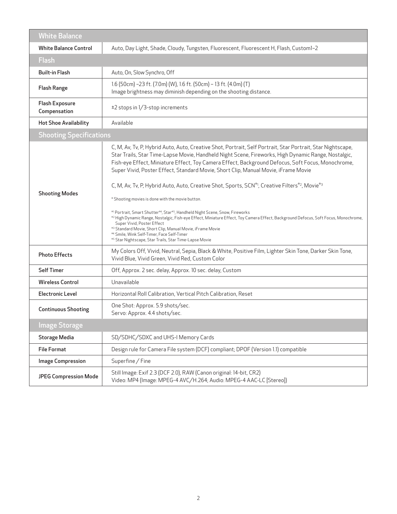| <b>White Balance</b>                  |                                                                                                                                                                                                                                                                                                                                                                                                                                                                                                                                                                                                                                                                                                                                                                                                                                                                                                                                                                                                                                   |
|---------------------------------------|-----------------------------------------------------------------------------------------------------------------------------------------------------------------------------------------------------------------------------------------------------------------------------------------------------------------------------------------------------------------------------------------------------------------------------------------------------------------------------------------------------------------------------------------------------------------------------------------------------------------------------------------------------------------------------------------------------------------------------------------------------------------------------------------------------------------------------------------------------------------------------------------------------------------------------------------------------------------------------------------------------------------------------------|
| <b>White Balance Control</b>          | Auto, Day Light, Shade, Cloudy, Tungsten, Fluorescent, Fluorescent H, Flash, Custom1-2                                                                                                                                                                                                                                                                                                                                                                                                                                                                                                                                                                                                                                                                                                                                                                                                                                                                                                                                            |
| <b>Flash</b>                          |                                                                                                                                                                                                                                                                                                                                                                                                                                                                                                                                                                                                                                                                                                                                                                                                                                                                                                                                                                                                                                   |
| <b>Built-in Flash</b>                 | Auto, On, Slow Synchro, Off                                                                                                                                                                                                                                                                                                                                                                                                                                                                                                                                                                                                                                                                                                                                                                                                                                                                                                                                                                                                       |
| <b>Flash Range</b>                    | 1.6 (50cm) -23 ft. (7.0m) (W), 1.6 ft. (50cm) - 13 ft. (4.0m) (T)<br>Image brightness may diminish depending on the shooting distance.                                                                                                                                                                                                                                                                                                                                                                                                                                                                                                                                                                                                                                                                                                                                                                                                                                                                                            |
| <b>Flash Exposure</b><br>Compensation | ±2 stops in 1/3-stop increments                                                                                                                                                                                                                                                                                                                                                                                                                                                                                                                                                                                                                                                                                                                                                                                                                                                                                                                                                                                                   |
| <b>Hot Shoe Availability</b>          | Available                                                                                                                                                                                                                                                                                                                                                                                                                                                                                                                                                                                                                                                                                                                                                                                                                                                                                                                                                                                                                         |
| <b>Shooting Specifications</b>        |                                                                                                                                                                                                                                                                                                                                                                                                                                                                                                                                                                                                                                                                                                                                                                                                                                                                                                                                                                                                                                   |
| <b>Shooting Modes</b>                 | C, M, Av, Tv, P, Hybrid Auto, Auto, Creative Shot, Portrait, Self Portrait, Star Portrait, Star Nightscape,<br>Star Trails, Star Time-Lapse Movie, Handheld Night Scene, Fireworks, High Dynamic Range, Nostalgic,<br>Fish-eye Effect, Miniature Effect, Toy Camera Effect, Background Defocus, Soft Focus, Monochrome,<br>Super Vivid, Poster Effect, Standard Movie, Short Clip, Manual Movie, iFrame Movie<br>C, M, Av, Tv, P, Hybrid Auto, Auto, Creative Shot, Sports, SCN <sup>*1</sup> , Creative Filters <sup>*2</sup> , Movie <sup>*3</sup><br>* Shooting movies is done with the movie button.<br>*1 Portrait, Smart Shutter*4, Star*5, Handheld Night Scene, Snow, Fireworks<br>*2 High Dynamic Range, Nostalgic, Fish-eye Effect, Miniature Effect, Toy Camera Effect, Background Defocus, Soft Focus, Monochrome,<br>Super Vivid, Poster Effect<br>*3 Standard Movie, Short Clip, Manual Movie, iFrame Movie<br>*4 Smile, Wink Self-Timer, Face Self-Timer<br>*5 Star Nightscape, Star Trails, Star Time-Lapse Movie |
| <b>Photo Effects</b>                  | My Colors Off, Vivid, Neutral, Sepia, Black & White, Positive Film, Lighter Skin Tone, Darker Skin Tone,<br>Vivid Blue, Vivid Green, Vivid Red, Custom Color                                                                                                                                                                                                                                                                                                                                                                                                                                                                                                                                                                                                                                                                                                                                                                                                                                                                      |
| <b>Self Timer</b>                     | Off, Approx. 2 sec. delay, Approx. 10 sec. delay, Custom                                                                                                                                                                                                                                                                                                                                                                                                                                                                                                                                                                                                                                                                                                                                                                                                                                                                                                                                                                          |
| <b>Wireless Control</b>               | Unavailable                                                                                                                                                                                                                                                                                                                                                                                                                                                                                                                                                                                                                                                                                                                                                                                                                                                                                                                                                                                                                       |
| <b>Electronic Level</b>               | Horizontal Roll Calibration, Vertical Pitch Calibration, Reset                                                                                                                                                                                                                                                                                                                                                                                                                                                                                                                                                                                                                                                                                                                                                                                                                                                                                                                                                                    |
| <b>Continuous Shooting</b>            | One Shot: Approx. 5.9 shots/sec.<br>Servo: Approx. 4.4 shots/sec.                                                                                                                                                                                                                                                                                                                                                                                                                                                                                                                                                                                                                                                                                                                                                                                                                                                                                                                                                                 |
| <b>Image Storage</b>                  |                                                                                                                                                                                                                                                                                                                                                                                                                                                                                                                                                                                                                                                                                                                                                                                                                                                                                                                                                                                                                                   |
| <b>Storage Media</b>                  | SD/SDHC/SDXC and UHS-I Memory Cards                                                                                                                                                                                                                                                                                                                                                                                                                                                                                                                                                                                                                                                                                                                                                                                                                                                                                                                                                                                               |
| <b>File Format</b>                    | Design rule for Camera File system (DCF) compliant; DPOF (Version 1.1) compatible                                                                                                                                                                                                                                                                                                                                                                                                                                                                                                                                                                                                                                                                                                                                                                                                                                                                                                                                                 |
| <b>Image Compression</b>              | Superfine / Fine                                                                                                                                                                                                                                                                                                                                                                                                                                                                                                                                                                                                                                                                                                                                                                                                                                                                                                                                                                                                                  |
| <b>JPEG Compression Mode</b>          | Still Image: Exif 2.3 (DCF 2.0), RAW (Canon original: 14-bit, CR2)<br>Video: MP4 (Image: MPEG-4 AVC/H.264; Audio: MPEG-4 AAC-LC [Stereo])                                                                                                                                                                                                                                                                                                                                                                                                                                                                                                                                                                                                                                                                                                                                                                                                                                                                                         |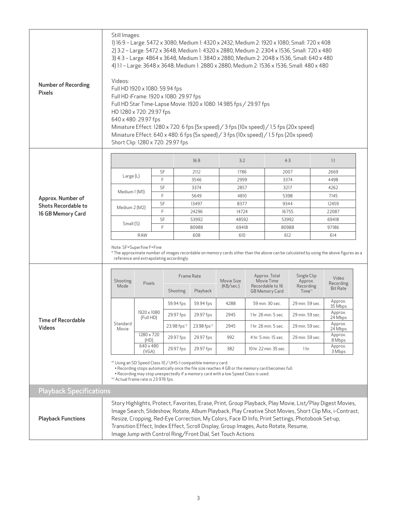| Number of Recording<br>Pixels              | Still Images:<br>1) 16:9 - Large: 5472 x 3080; Medium 1: 4320 x 2432; Medium 2: 1920 x 1080; Small: 720 x 408<br>2) 3:2 - Large: 5472 x 3648, Medium 1: 4320 x 2880, Medium 2: 2304 x 1536, Small: 720 x 480<br>3) 4:3 - Large: 4864 x 3648, Medium 1: 3840 x 2880, Medium 2: 2048 x 1536, Small: 640 x 480<br>4) 1:1 - Large: 3648 x 3648; Medium 1: 2880 x 2880; Medium 2: 1536 x 1536; Small: 480 x 480<br>Videos:<br>Full HD 1920 x 1080: 59.94 fps<br>Full HD iFrame: 1920 x 1080: 29.97 fps<br>Full HD Star Time-Lapse Movie: 1920 x 1080: 14.985 fps / 29.97 fps<br>HD 1280 x 720: 29.97 fps<br>640 x 480: 29.97 fps<br>Miniature Effect: 1280 x 720: 6 fps (5x speed) / 3 fps (10x speed) / 1.5 fps (20x speed)<br>Miniature Effect: 640 x 480: 6 fps (5x speed) / 3 fps (10x speed) / 1.5 fps (20x speed)<br>Short Clip: 1280 x 720: 29.97 fps |                          |                                 |             |                                                                                                                                                                                                                                                       |                         |                      |                                                                                           |                  |       |                                                                                                                                                                                                                     |  |
|--------------------------------------------|---------------------------------------------------------------------------------------------------------------------------------------------------------------------------------------------------------------------------------------------------------------------------------------------------------------------------------------------------------------------------------------------------------------------------------------------------------------------------------------------------------------------------------------------------------------------------------------------------------------------------------------------------------------------------------------------------------------------------------------------------------------------------------------------------------------------------------------------------------|--------------------------|---------------------------------|-------------|-------------------------------------------------------------------------------------------------------------------------------------------------------------------------------------------------------------------------------------------------------|-------------------------|----------------------|-------------------------------------------------------------------------------------------|------------------|-------|---------------------------------------------------------------------------------------------------------------------------------------------------------------------------------------------------------------------|--|
|                                            |                                                                                                                                                                                                                                                                                                                                                                                                                                                                                                                                                                                                                                                                                                                                                                                                                                                         |                          |                                 |             | 16:9                                                                                                                                                                                                                                                  | 3:2                     |                      | 4:3                                                                                       |                  |       | 1:1                                                                                                                                                                                                                 |  |
|                                            |                                                                                                                                                                                                                                                                                                                                                                                                                                                                                                                                                                                                                                                                                                                                                                                                                                                         |                          | SF                              |             | 2112                                                                                                                                                                                                                                                  | 1786                    |                      | 2007                                                                                      |                  | 2669  |                                                                                                                                                                                                                     |  |
|                                            | Large (L)                                                                                                                                                                                                                                                                                                                                                                                                                                                                                                                                                                                                                                                                                                                                                                                                                                               |                          | F                               |             | 3546                                                                                                                                                                                                                                                  | 2999                    |                      | 3374                                                                                      |                  | 4498  |                                                                                                                                                                                                                     |  |
|                                            |                                                                                                                                                                                                                                                                                                                                                                                                                                                                                                                                                                                                                                                                                                                                                                                                                                                         |                          | SF                              |             | 3374                                                                                                                                                                                                                                                  | 2857                    |                      | 3217                                                                                      |                  |       | 4262                                                                                                                                                                                                                |  |
| Approx. Number of                          | Medium 1 (M1)                                                                                                                                                                                                                                                                                                                                                                                                                                                                                                                                                                                                                                                                                                                                                                                                                                           |                          | F                               |             | 5649                                                                                                                                                                                                                                                  | 4810                    |                      | 5398                                                                                      |                  |       | 7145                                                                                                                                                                                                                |  |
| <b>Shots Recordable to</b>                 | Medium 2 (M2)                                                                                                                                                                                                                                                                                                                                                                                                                                                                                                                                                                                                                                                                                                                                                                                                                                           |                          | SF                              |             | 13497                                                                                                                                                                                                                                                 | 8377                    |                      | 9344                                                                                      |                  | 12459 |                                                                                                                                                                                                                     |  |
| 16 GB Memory Card                          |                                                                                                                                                                                                                                                                                                                                                                                                                                                                                                                                                                                                                                                                                                                                                                                                                                                         |                          | F                               |             | 24296                                                                                                                                                                                                                                                 | 14724                   |                      | 16755                                                                                     |                  | 22087 |                                                                                                                                                                                                                     |  |
|                                            | Small (S)                                                                                                                                                                                                                                                                                                                                                                                                                                                                                                                                                                                                                                                                                                                                                                                                                                               |                          | SF                              |             | 53992                                                                                                                                                                                                                                                 | 48592                   |                      | 53992                                                                                     |                  | 69418 |                                                                                                                                                                                                                     |  |
|                                            |                                                                                                                                                                                                                                                                                                                                                                                                                                                                                                                                                                                                                                                                                                                                                                                                                                                         |                          | F                               |             | 80988                                                                                                                                                                                                                                                 |                         | 69418                |                                                                                           | 80988            |       | 97186                                                                                                                                                                                                               |  |
|                                            |                                                                                                                                                                                                                                                                                                                                                                                                                                                                                                                                                                                                                                                                                                                                                                                                                                                         | <b>RAW</b>               |                                 |             | 608                                                                                                                                                                                                                                                   | 610                     |                      |                                                                                           | 612              |       | 614                                                                                                                                                                                                                 |  |
|                                            | Note: SF=Superfine F=Fine<br>* The approximate number of images recordable on memory cards other than the above can be calculated by using the above figures as a<br>reference and extrapolating accordingly.                                                                                                                                                                                                                                                                                                                                                                                                                                                                                                                                                                                                                                           |                          |                                 |             |                                                                                                                                                                                                                                                       |                         |                      |                                                                                           |                  |       |                                                                                                                                                                                                                     |  |
|                                            |                                                                                                                                                                                                                                                                                                                                                                                                                                                                                                                                                                                                                                                                                                                                                                                                                                                         |                          |                                 |             | Frame Rate                                                                                                                                                                                                                                            |                         | Approx. Total        |                                                                                           | Single Clip      |       | Video                                                                                                                                                                                                               |  |
|                                            | Shooting<br>Mode                                                                                                                                                                                                                                                                                                                                                                                                                                                                                                                                                                                                                                                                                                                                                                                                                                        | Pixels                   |                                 | Shooting    | Playback                                                                                                                                                                                                                                              | Movie Size<br>(KB/sec.) |                      | Movie Time<br>Approx.<br>Recordable to 16<br>Recording<br>Time*1<br><b>GB Memory Card</b> |                  |       | Recording<br><b>Bit Rate</b>                                                                                                                                                                                        |  |
|                                            |                                                                                                                                                                                                                                                                                                                                                                                                                                                                                                                                                                                                                                                                                                                                                                                                                                                         |                          |                                 | 59.94 fps   | 59.94 fps                                                                                                                                                                                                                                             | 4288                    |                      | 59 min. 30 sec.                                                                           | 29 min. 59 sec.  |       | Approx.<br>35 Mbps                                                                                                                                                                                                  |  |
| <b>Time of Recordable</b><br><b>Videos</b> |                                                                                                                                                                                                                                                                                                                                                                                                                                                                                                                                                                                                                                                                                                                                                                                                                                                         | 1920 x 1080<br>(Full HD) |                                 | 29.97 fps   | 29.97 fps                                                                                                                                                                                                                                             | 2945                    |                      | 1 hr. 26 min. 5 sec.<br>29 min. 59 sec.                                                   |                  |       | Approx.<br>24 Mbps                                                                                                                                                                                                  |  |
|                                            | Standard<br>Movie                                                                                                                                                                                                                                                                                                                                                                                                                                                                                                                                                                                                                                                                                                                                                                                                                                       |                          |                                 | 23.98 fps*2 | 23.98 fps <sup>*2</sup>                                                                                                                                                                                                                               | 2945                    | 1 hr. 26 min. 5 sec. |                                                                                           | 29 min. 59 sec.  |       | Approx.<br>24 Mbps                                                                                                                                                                                                  |  |
|                                            |                                                                                                                                                                                                                                                                                                                                                                                                                                                                                                                                                                                                                                                                                                                                                                                                                                                         |                          | 1280 x 720<br>29.97 fps<br>(HD) |             | 29.97 fps                                                                                                                                                                                                                                             | 992                     |                      | 4 hr. 5 min. 15 sec.                                                                      | 29 min. 59 sec.  |       | Approx.<br>8 Mbps                                                                                                                                                                                                   |  |
|                                            |                                                                                                                                                                                                                                                                                                                                                                                                                                                                                                                                                                                                                                                                                                                                                                                                                                                         | 640 x 480<br>(VGA)       |                                 | 29.97 fps   | 29.97 fps                                                                                                                                                                                                                                             | 382                     |                      | 10 hr. 22 min. 35 sec.                                                                    | 1 <sub>hr.</sub> |       | Approx.<br>3 Mbps                                                                                                                                                                                                   |  |
|                                            | *1 Using an SD Speed Class 10 / UHS-I compatible memory card.<br>. Recording stops automatically once the file size reaches 4 GB or the memory card becomes full.<br>. Recording may stop unexpectedly if a memory card with a low Speed Class is used.<br>* <sup>2</sup> Actual frame rate is 23.976 fps.                                                                                                                                                                                                                                                                                                                                                                                                                                                                                                                                              |                          |                                 |             |                                                                                                                                                                                                                                                       |                         |                      |                                                                                           |                  |       |                                                                                                                                                                                                                     |  |
| <b>Playback Specifications</b>             |                                                                                                                                                                                                                                                                                                                                                                                                                                                                                                                                                                                                                                                                                                                                                                                                                                                         |                          |                                 |             |                                                                                                                                                                                                                                                       |                         |                      |                                                                                           |                  |       |                                                                                                                                                                                                                     |  |
| <b>Playback Functions</b>                  |                                                                                                                                                                                                                                                                                                                                                                                                                                                                                                                                                                                                                                                                                                                                                                                                                                                         |                          |                                 |             | Resize, Cropping, Red-Eye Correction, My Colors, Face ID Info, Print Settings, Photobook Set-up,<br>Transition Effect, Index Effect, Scroll Display, Group Images, Auto Rotate, Resume,<br>Image Jump with Control Ring/Front Dial, Set Touch Actions |                         |                      |                                                                                           |                  |       | Story Highlights, Protect, Favorites, Erase, Print, Group Playback, Play Movie, List/Play Digest Movies,<br>Image Search, Slideshow, Rotate, Album Playback, Play Creative Shot Movies, Short Clip Mix, i-Contrast, |  |